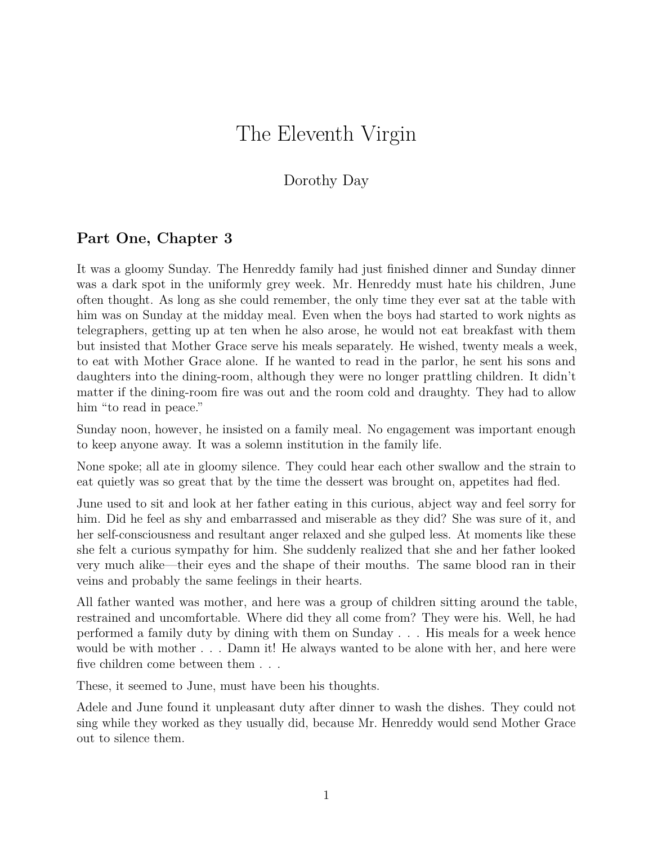## The Eleventh Virgin

## Dorothy Day

## **Part One, Chapter 3**

It was a gloomy Sunday. The Henreddy family had just finished dinner and Sunday dinner was a dark spot in the uniformly grey week. Mr. Henreddy must hate his children, June often thought. As long as she could remember, the only time they ever sat at the table with him was on Sunday at the midday meal. Even when the boys had started to work nights as telegraphers, getting up at ten when he also arose, he would not eat breakfast with them but insisted that Mother Grace serve his meals separately. He wished, twenty meals a week, to eat with Mother Grace alone. If he wanted to read in the parlor, he sent his sons and daughters into the dining-room, although they were no longer prattling children. It didn't matter if the dining-room fire was out and the room cold and draughty. They had to allow him "to read in peace."

Sunday noon, however, he insisted on a family meal. No engagement was important enough to keep anyone away. It was a solemn institution in the family life.

None spoke; all ate in gloomy silence. They could hear each other swallow and the strain to eat quietly was so great that by the time the dessert was brought on, appetites had fled.

June used to sit and look at her father eating in this curious, abject way and feel sorry for him. Did he feel as shy and embarrassed and miserable as they did? She was sure of it, and her self-consciousness and resultant anger relaxed and she gulped less. At moments like these she felt a curious sympathy for him. She suddenly realized that she and her father looked very much alike—their eyes and the shape of their mouths. The same blood ran in their veins and probably the same feelings in their hearts.

All father wanted was mother, and here was a group of children sitting around the table, restrained and uncomfortable. Where did they all come from? They were his. Well, he had performed a family duty by dining with them on Sunday . . . His meals for a week hence would be with mother . . . Damn it! He always wanted to be alone with her, and here were five children come between them  $\ldots$  .

These, it seemed to June, must have been his thoughts.

Adele and June found it unpleasant duty after dinner to wash the dishes. They could not sing while they worked as they usually did, because Mr. Henreddy would send Mother Grace out to silence them.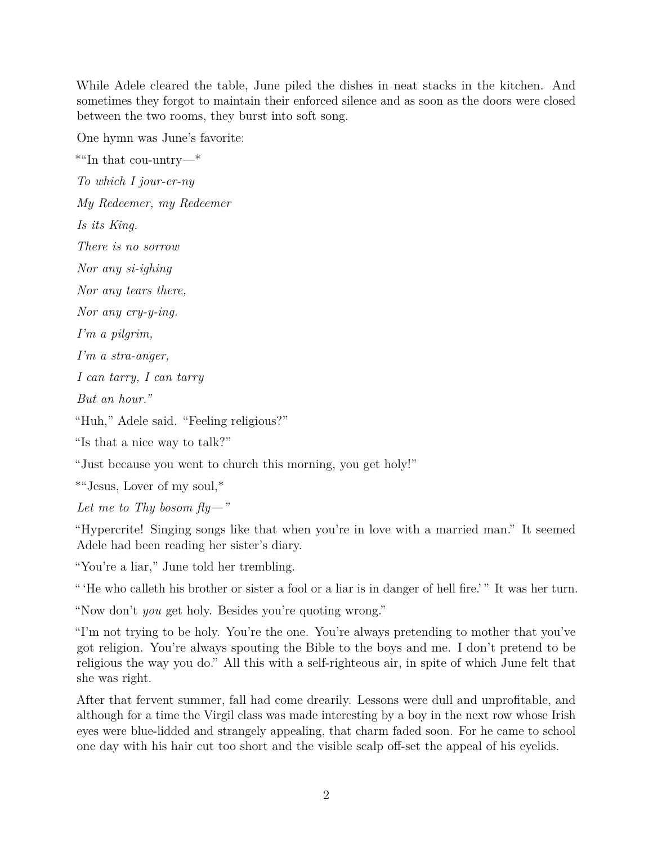While Adele cleared the table, June piled the dishes in neat stacks in the kitchen. And sometimes they forgot to maintain their enforced silence and as soon as the doors were closed between the two rooms, they burst into soft song.

One hymn was June's favorite:

\*"In that cou-untry—\*

*To which I jour-er-ny*

*My Redeemer, my Redeemer*

*Is its King.*

*There is no sorrow*

*Nor any si-ighing*

*Nor any tears there,*

*Nor any cry-y-ing.*

*I'm a pilgrim,*

*I'm a stra-anger,*

*I can tarry, I can tarry*

*But an hour."*

"Huh," Adele said. "Feeling religious?"

"Is that a nice way to talk?"

"Just because you went to church this morning, you get holy!"

\*"Jesus, Lover of my soul,\*

*Let me to Thy bosom fly—"*

"Hypercrite! Singing songs like that when you're in love with a married man." It seemed Adele had been reading her sister's diary.

"You're a liar," June told her trembling.

" 'He who calleth his brother or sister a fool or a liar is in danger of hell fire.' " It was her turn.

"Now don't *you* get holy. Besides you're quoting wrong."

"I'm not trying to be holy. You're the one. You're always pretending to mother that you've got religion. You're always spouting the Bible to the boys and me. I don't pretend to be religious the way you do." All this with a self-righteous air, in spite of which June felt that she was right.

After that fervent summer, fall had come drearily. Lessons were dull and unprofitable, and although for a time the Virgil class was made interesting by a boy in the next row whose Irish eyes were blue-lidded and strangely appealing, that charm faded soon. For he came to school one day with his hair cut too short and the visible scalp off-set the appeal of his eyelids.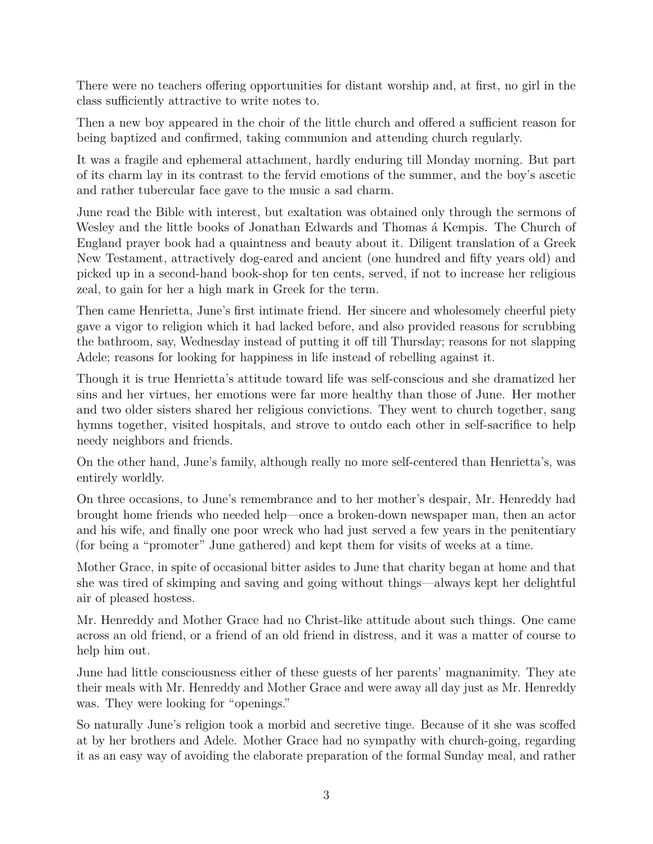There were no teachers offering opportunities for distant worship and, at first, no girl in the class sufficiently attractive to write notes to.

Then a new boy appeared in the choir of the little church and offered a sufficient reason for being baptized and confirmed, taking communion and attending church regularly.

It was a fragile and ephemeral attachment, hardly enduring till Monday morning. But part of its charm lay in its contrast to the fervid emotions of the summer, and the boy's ascetic and rather tubercular face gave to the music a sad charm.

June read the Bible with interest, but exaltation was obtained only through the sermons of Wesley and the little books of Jonathan Edwards and Thomas á Kempis. The Church of England prayer book had a quaintness and beauty about it. Diligent translation of a Greek New Testament, attractively dog-eared and ancient (one hundred and fifty years old) and picked up in a second-hand book-shop for ten cents, served, if not to increase her religious zeal, to gain for her a high mark in Greek for the term.

Then came Henrietta, June's first intimate friend. Her sincere and wholesomely cheerful piety gave a vigor to religion which it had lacked before, and also provided reasons for scrubbing the bathroom, say, Wednesday instead of putting it off till Thursday; reasons for not slapping Adele; reasons for looking for happiness in life instead of rebelling against it.

Though it is true Henrietta's attitude toward life was self-conscious and she dramatized her sins and her virtues, her emotions were far more healthy than those of June. Her mother and two older sisters shared her religious convictions. They went to church together, sang hymns together, visited hospitals, and strove to outdo each other in self-sacrifice to help needy neighbors and friends.

On the other hand, June's family, although really no more self-centered than Henrietta's, was entirely worldly.

On three occasions, to June's remembrance and to her mother's despair, Mr. Henreddy had brought home friends who needed help—once a broken-down newspaper man, then an actor and his wife, and finally one poor wreck who had just served a few years in the penitentiary (for being a "promoter" June gathered) and kept them for visits of weeks at a time.

Mother Grace, in spite of occasional bitter asides to June that charity began at home and that she was tired of skimping and saving and going without things—always kept her delightful air of pleased hostess.

Mr. Henreddy and Mother Grace had no Christ-like attitude about such things. One came across an old friend, or a friend of an old friend in distress, and it was a matter of course to help him out.

June had little consciousness either of these guests of her parents' magnanimity. They ate their meals with Mr. Henreddy and Mother Grace and were away all day just as Mr. Henreddy was. They were looking for "openings."

So naturally June's religion took a morbid and secretive tinge. Because of it she was scoffed at by her brothers and Adele. Mother Grace had no sympathy with church-going, regarding it as an easy way of avoiding the elaborate preparation of the formal Sunday meal, and rather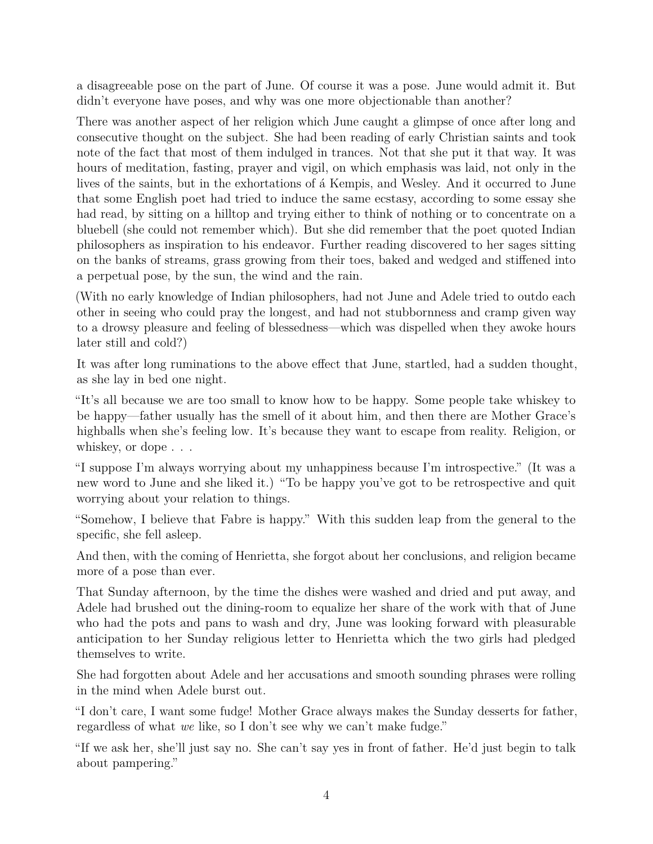a disagreeable pose on the part of June. Of course it was a pose. June would admit it. But didn't everyone have poses, and why was one more objectionable than another?

There was another aspect of her religion which June caught a glimpse of once after long and consecutive thought on the subject. She had been reading of early Christian saints and took note of the fact that most of them indulged in trances. Not that she put it that way. It was hours of meditation, fasting, prayer and vigil, on which emphasis was laid, not only in the lives of the saints, but in the exhortations of á Kempis, and Wesley. And it occurred to June that some English poet had tried to induce the same ecstasy, according to some essay she had read, by sitting on a hilltop and trying either to think of nothing or to concentrate on a bluebell (she could not remember which). But she did remember that the poet quoted Indian philosophers as inspiration to his endeavor. Further reading discovered to her sages sitting on the banks of streams, grass growing from their toes, baked and wedged and stiffened into a perpetual pose, by the sun, the wind and the rain.

(With no early knowledge of Indian philosophers, had not June and Adele tried to outdo each other in seeing who could pray the longest, and had not stubbornness and cramp given way to a drowsy pleasure and feeling of blessedness—which was dispelled when they awoke hours later still and cold?)

It was after long ruminations to the above effect that June, startled, had a sudden thought, as she lay in bed one night.

"It's all because we are too small to know how to be happy. Some people take whiskey to be happy—father usually has the smell of it about him, and then there are Mother Grace's highballs when she's feeling low. It's because they want to escape from reality. Religion, or whiskey, or dope . . .

"I suppose I'm always worrying about my unhappiness because I'm introspective." (It was a new word to June and she liked it.) "To be happy you've got to be retrospective and quit worrying about your relation to things.

"Somehow, I believe that Fabre is happy." With this sudden leap from the general to the specific, she fell asleep.

And then, with the coming of Henrietta, she forgot about her conclusions, and religion became more of a pose than ever.

That Sunday afternoon, by the time the dishes were washed and dried and put away, and Adele had brushed out the dining-room to equalize her share of the work with that of June who had the pots and pans to wash and dry, June was looking forward with pleasurable anticipation to her Sunday religious letter to Henrietta which the two girls had pledged themselves to write.

She had forgotten about Adele and her accusations and smooth sounding phrases were rolling in the mind when Adele burst out.

"I don't care, I want some fudge! Mother Grace always makes the Sunday desserts for father, regardless of what *we* like, so I don't see why we can't make fudge."

"If we ask her, she'll just say no. She can't say yes in front of father. He'd just begin to talk about pampering."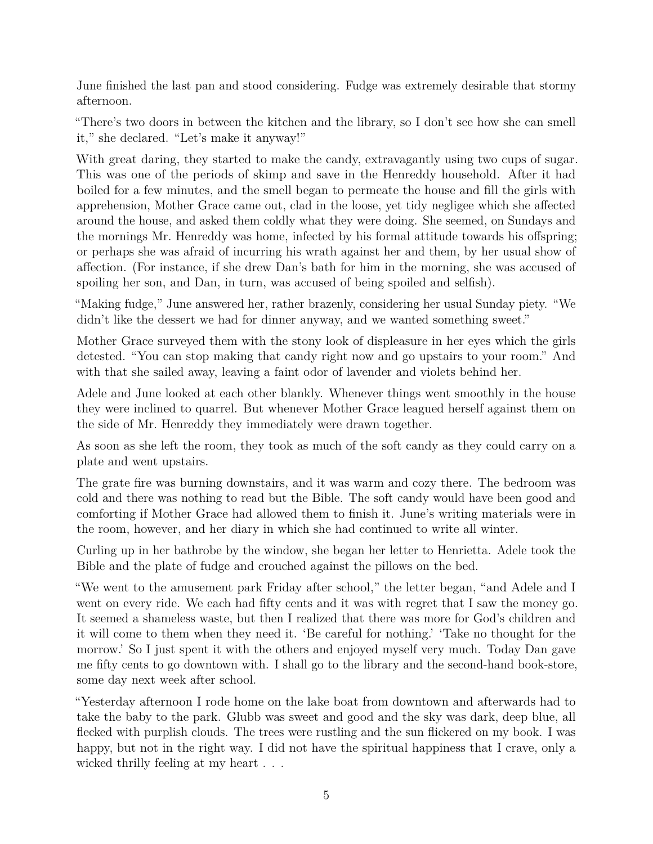June finished the last pan and stood considering. Fudge was extremely desirable that stormy afternoon.

"There's two doors in between the kitchen and the library, so I don't see how she can smell it," she declared. "Let's make it anyway!"

With great daring, they started to make the candy, extravagantly using two cups of sugar. This was one of the periods of skimp and save in the Henreddy household. After it had boiled for a few minutes, and the smell began to permeate the house and fill the girls with apprehension, Mother Grace came out, clad in the loose, yet tidy negligee which she affected around the house, and asked them coldly what they were doing. She seemed, on Sundays and the mornings Mr. Henreddy was home, infected by his formal attitude towards his offspring; or perhaps she was afraid of incurring his wrath against her and them, by her usual show of affection. (For instance, if she drew Dan's bath for him in the morning, she was accused of spoiling her son, and Dan, in turn, was accused of being spoiled and selfish).

"Making fudge," June answered her, rather brazenly, considering her usual Sunday piety. "We didn't like the dessert we had for dinner anyway, and we wanted something sweet."

Mother Grace surveyed them with the stony look of displeasure in her eyes which the girls detested. "You can stop making that candy right now and go upstairs to your room." And with that she sailed away, leaving a faint odor of lavender and violets behind her.

Adele and June looked at each other blankly. Whenever things went smoothly in the house they were inclined to quarrel. But whenever Mother Grace leagued herself against them on the side of Mr. Henreddy they immediately were drawn together.

As soon as she left the room, they took as much of the soft candy as they could carry on a plate and went upstairs.

The grate fire was burning downstairs, and it was warm and cozy there. The bedroom was cold and there was nothing to read but the Bible. The soft candy would have been good and comforting if Mother Grace had allowed them to finish it. June's writing materials were in the room, however, and her diary in which she had continued to write all winter.

Curling up in her bathrobe by the window, she began her letter to Henrietta. Adele took the Bible and the plate of fudge and crouched against the pillows on the bed.

"We went to the amusement park Friday after school," the letter began, "and Adele and I went on every ride. We each had fifty cents and it was with regret that I saw the money go. It seemed a shameless waste, but then I realized that there was more for God's children and it will come to them when they need it. 'Be careful for nothing.' 'Take no thought for the morrow.' So I just spent it with the others and enjoyed myself very much. Today Dan gave me fifty cents to go downtown with. I shall go to the library and the second-hand book-store, some day next week after school.

"Yesterday afternoon I rode home on the lake boat from downtown and afterwards had to take the baby to the park. Glubb was sweet and good and the sky was dark, deep blue, all flecked with purplish clouds. The trees were rustling and the sun flickered on my book. I was happy, but not in the right way. I did not have the spiritual happiness that I crave, only a wicked thrilly feeling at my heart . . .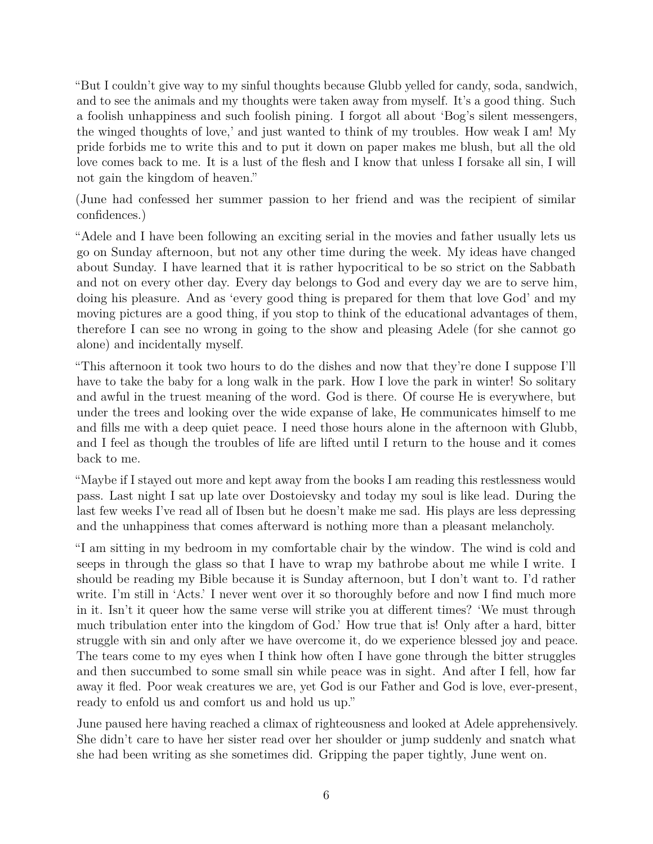"But I couldn't give way to my sinful thoughts because Glubb yelled for candy, soda, sandwich, and to see the animals and my thoughts were taken away from myself. It's a good thing. Such a foolish unhappiness and such foolish pining. I forgot all about 'Bog's silent messengers, the winged thoughts of love,' and just wanted to think of my troubles. How weak I am! My pride forbids me to write this and to put it down on paper makes me blush, but all the old love comes back to me. It is a lust of the flesh and I know that unless I forsake all sin, I will not gain the kingdom of heaven."

(June had confessed her summer passion to her friend and was the recipient of similar confidences.)

"Adele and I have been following an exciting serial in the movies and father usually lets us go on Sunday afternoon, but not any other time during the week. My ideas have changed about Sunday. I have learned that it is rather hypocritical to be so strict on the Sabbath and not on every other day. Every day belongs to God and every day we are to serve him, doing his pleasure. And as 'every good thing is prepared for them that love God' and my moving pictures are a good thing, if you stop to think of the educational advantages of them, therefore I can see no wrong in going to the show and pleasing Adele (for she cannot go alone) and incidentally myself.

"This afternoon it took two hours to do the dishes and now that they're done I suppose I'll have to take the baby for a long walk in the park. How I love the park in winter! So solitary and awful in the truest meaning of the word. God is there. Of course He is everywhere, but under the trees and looking over the wide expanse of lake, He communicates himself to me and fills me with a deep quiet peace. I need those hours alone in the afternoon with Glubb, and I feel as though the troubles of life are lifted until I return to the house and it comes back to me.

"Maybe if I stayed out more and kept away from the books I am reading this restlessness would pass. Last night I sat up late over Dostoievsky and today my soul is like lead. During the last few weeks I've read all of Ibsen but he doesn't make me sad. His plays are less depressing and the unhappiness that comes afterward is nothing more than a pleasant melancholy.

"I am sitting in my bedroom in my comfortable chair by the window. The wind is cold and seeps in through the glass so that I have to wrap my bathrobe about me while I write. I should be reading my Bible because it is Sunday afternoon, but I don't want to. I'd rather write. I'm still in 'Acts.' I never went over it so thoroughly before and now I find much more in it. Isn't it queer how the same verse will strike you at different times? 'We must through much tribulation enter into the kingdom of God.' How true that is! Only after a hard, bitter struggle with sin and only after we have overcome it, do we experience blessed joy and peace. The tears come to my eyes when I think how often I have gone through the bitter struggles and then succumbed to some small sin while peace was in sight. And after I fell, how far away it fled. Poor weak creatures we are, yet God is our Father and God is love, ever-present, ready to enfold us and comfort us and hold us up."

June paused here having reached a climax of righteousness and looked at Adele apprehensively. She didn't care to have her sister read over her shoulder or jump suddenly and snatch what she had been writing as she sometimes did. Gripping the paper tightly, June went on.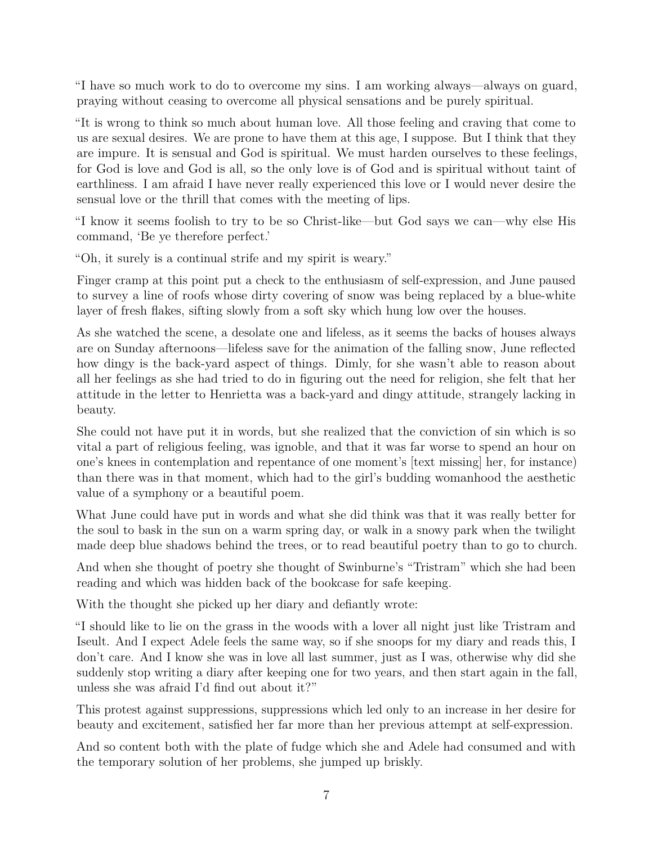"I have so much work to do to overcome my sins. I am working always—always on guard, praying without ceasing to overcome all physical sensations and be purely spiritual.

"It is wrong to think so much about human love. All those feeling and craving that come to us are sexual desires. We are prone to have them at this age, I suppose. But I think that they are impure. It is sensual and God is spiritual. We must harden ourselves to these feelings, for God is love and God is all, so the only love is of God and is spiritual without taint of earthliness. I am afraid I have never really experienced this love or I would never desire the sensual love or the thrill that comes with the meeting of lips.

"I know it seems foolish to try to be so Christ-like—but God says we can—why else His command, 'Be ye therefore perfect.'

"Oh, it surely is a continual strife and my spirit is weary."

Finger cramp at this point put a check to the enthusiasm of self-expression, and June paused to survey a line of roofs whose dirty covering of snow was being replaced by a blue-white layer of fresh flakes, sifting slowly from a soft sky which hung low over the houses.

As she watched the scene, a desolate one and lifeless, as it seems the backs of houses always are on Sunday afternoons—lifeless save for the animation of the falling snow, June reflected how dingy is the back-yard aspect of things. Dimly, for she wasn't able to reason about all her feelings as she had tried to do in figuring out the need for religion, she felt that her attitude in the letter to Henrietta was a back-yard and dingy attitude, strangely lacking in beauty.

She could not have put it in words, but she realized that the conviction of sin which is so vital a part of religious feeling, was ignoble, and that it was far worse to spend an hour on one's knees in contemplation and repentance of one moment's [text missing] her, for instance) than there was in that moment, which had to the girl's budding womanhood the aesthetic value of a symphony or a beautiful poem.

What June could have put in words and what she did think was that it was really better for the soul to bask in the sun on a warm spring day, or walk in a snowy park when the twilight made deep blue shadows behind the trees, or to read beautiful poetry than to go to church.

And when she thought of poetry she thought of Swinburne's "Tristram" which she had been reading and which was hidden back of the bookcase for safe keeping.

With the thought she picked up her diary and defiantly wrote:

"I should like to lie on the grass in the woods with a lover all night just like Tristram and Iseult. And I expect Adele feels the same way, so if she snoops for my diary and reads this, I don't care. And I know she was in love all last summer, just as I was, otherwise why did she suddenly stop writing a diary after keeping one for two years, and then start again in the fall, unless she was afraid I'd find out about it?"

This protest against suppressions, suppressions which led only to an increase in her desire for beauty and excitement, satisfied her far more than her previous attempt at self-expression.

And so content both with the plate of fudge which she and Adele had consumed and with the temporary solution of her problems, she jumped up briskly.